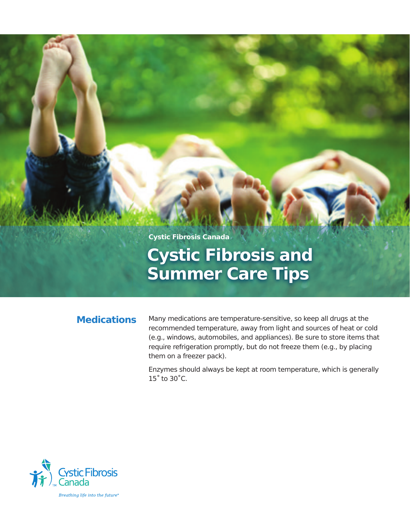**Cystic Fibrosis Canada**

# **Cystic Fibrosis and Summer Care Tips**

### **Medications**

Many medications are temperature-sensitive, so keep all drugs at the recommended temperature, away from light and sources of heat or cold (e.g., windows, automobiles, and appliances). Be sure to store items that require refrigeration promptly, but do not freeze them (e.g., by placing them on a freezer pack).

Enzymes should always be kept at room temperature, which is generally 15˚ to 30˚C.

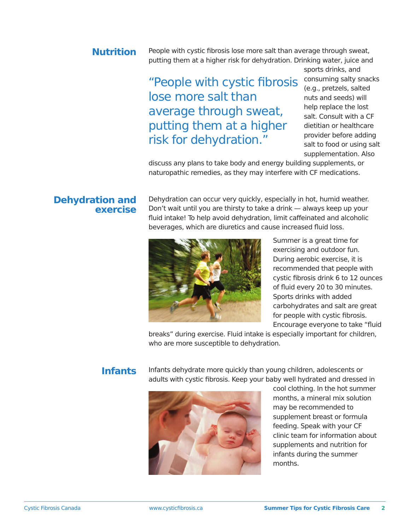#### People with cystic fibrosis lose more salt than average through sweat, putting them at a higher risk for dehydration. Drinking water, juice and **Nutrition**

## "People with cystic fibrosis lose more salt than average through sweat, putting them at a higher risk for dehydration."

sports drinks, and consuming salty snacks (e.g., pretzels, salted nuts and seeds) will help replace the lost salt. Consult with a CF dietitian or healthcare provider before adding salt to food or using salt supplementation. Also

discuss any plans to take body and energy building supplements, or naturopathic remedies, as they may interfere with CF medications.

#### **Dehydration and exercise**

Dehydration can occur very quickly, especially in hot, humid weather. Don't wait until you are thirsty to take a drink — always keep up your fluid intake! To help avoid dehydration, limit caffeinated and alcoholic beverages, which are diuretics and cause increased fluid loss.



Summer is a great time for exercising and outdoor fun. During aerobic exercise, it is recommended that people with cystic fibrosis drink 6 to 12 ounces of fluid every 20 to 30 minutes. Sports drinks with added carbohydrates and salt are great for people with cystic fibrosis. Encourage everyone to take "fluid

breaks" during exercise. Fluid intake is especially important for children, who are more susceptible to dehydration.

#### **Infants**

Infants dehydrate more quickly than young children, adolescents or adults with cystic fibrosis. Keep your baby well hydrated and dressed in



cool clothing. In the hot summer months, a mineral mix solution may be recommended to supplement breast or formula feeding. Speak with your CF clinic team for information about supplements and nutrition for infants during the summer months.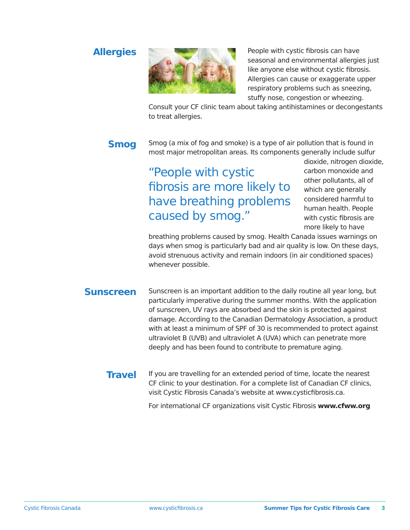### **Allergies**



People with cystic fibrosis can have seasonal and environmental allergies just like anyone else without cystic fibrosis. Allergies can cause or exaggerate upper respiratory problems such as sneezing, stuffy nose, congestion or wheezing.

Consult your CF clinic team about taking antihistamines or decongestants to treat allergies.

## **Smog**

Smog (a mix of fog and smoke) is a type of air pollution that is found in most major metropolitan areas. Its components generally include sulfur

## "People with cystic fibrosis are more likely to have breathing problems caused by smog."

dioxide, nitrogen dioxide, carbon monoxide and other pollutants, all of which are generally considered harmful to human health. People with cystic fibrosis are more likely to have

breathing problems caused by smog. Health Canada issues warnings on days when smog is particularly bad and air quality is low. On these days, avoid strenuous activity and remain indoors (in air conditioned spaces) whenever possible.

Sunscreen is an important addition to the daily routine all year long, but particularly imperative during the summer months. With the application of sunscreen, UV rays are absorbed and the skin is protected against damage. According to the Canadian Dermatology Association, a product with at least a minimum of SPF of 30 is recommended to protect against ultraviolet B (UVB) and ultraviolet A (UVA) which can penetrate more deeply and has been found to contribute to premature aging. **Sunscreen**

If you are travelling for an extended period of time, locate the nearest CF clinic to your destination. For a complete list of Canadian CF clinics, visit Cystic Fibrosis Canada's website at www.cysticfibrosis.ca. **Travel**

For international CF organizations visit Cystic Fibrosis **www.cfww.org**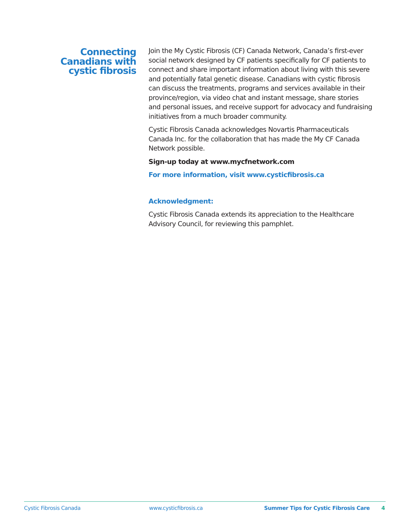#### **Connecting Canadians with cystic fibrosis**

Join the My Cystic Fibrosis (CF) Canada Network, Canada's first-ever social network designed by CF patients specifically for CF patients to connect and share important information about living with this severe and potentially fatal genetic disease. Canadians with cystic fibrosis can discuss the treatments, programs and services available in their province/region, via video chat and instant message, share stories and personal issues, and receive support for advocacy and fundraising initiatives from a much broader community.

Cystic Fibrosis Canada acknowledges Novartis Pharmaceuticals Canada Inc. for the collaboration that has made the My CF Canada Network possible.

#### **Sign-up today at www.mycfnetwork.com**

**For more information, visit www.cysticfibrosis.ca**

#### **Acknowledgment:**

Cystic Fibrosis Canada extends its appreciation to the Healthcare Advisory Council, for reviewing this pamphlet.